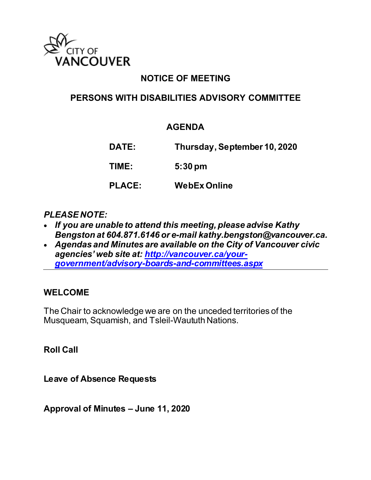

# **NOTICE OF MEETING**

## **PERSONS WITH DISABILITIES ADVISORY COMMITTEE**

## **AGENDA**

**DATE: Thursday, September 10, 2020 TIME: 5:30 pm PLACE: WebEx Online**

#### *PLEASE NOTE:*

- *If you are unable to attend this meeting, please advise Kathy Bengston at 604.871.6146 or e-mail kathy.bengston@vancouver.ca.*
- *Agendas and Minutes are available on the City of Vancouver civic agencies' web site at: [http://vancouver.ca/your](http://vancouver.ca/your-government/advisory-boards-and-committees.aspx)[government/advisory-boards-and-committees.aspx](http://vancouver.ca/your-government/advisory-boards-and-committees.aspx)*

#### **WELCOME**

The Chair to acknowledge we are on the unceded territories of the Musqueam, Squamish, and Tsleil-Waututh Nations.

**Roll Call** 

**Leave of Absence Requests** 

**Approval of Minutes – June 11, 2020**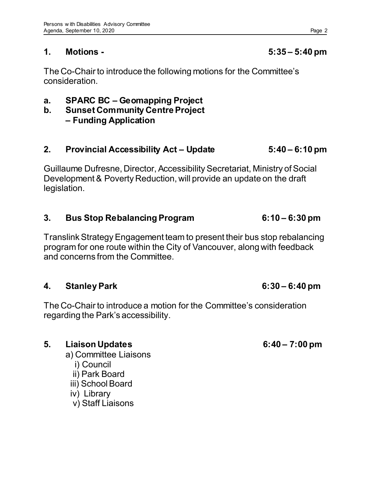## **1. Motions - 5:35 – 5:40 pm**

The Co-Chair to introduce the following motions for the Committee's consideration.

- **a. SPARC BC Geomapping Project**
- **b. Sunset Community Centre Project – Funding Application**

## **2. Provincial Accessibility Act – Update 5:40 – 6:10 pm**

Guillaume Dufresne, Director, Accessibility Secretariat, Ministry of Social Development & Poverty Reduction, will provide an update on the draft legislation.

## **3. Bus Stop Rebalancing Program 6:10 – 6:30 pm**

Translink Strategy Engagement team to present their bus stop rebalancing program for one route within the City of Vancouver, along with feedback and concerns from the Committee.

## **4. Stanley Park 6:30 – 6:40 pm**

The Co-Chair to introduce a motion for the Committee's consideration regarding the Park's accessibility.

## **5. Liaison Updates 6:40 – 7:00 pm**

- a) Committee Liaisons i) Council
	- ii) Park Board
	- iii) School Board
	- iv) Library
	- v) Staff Liaisons